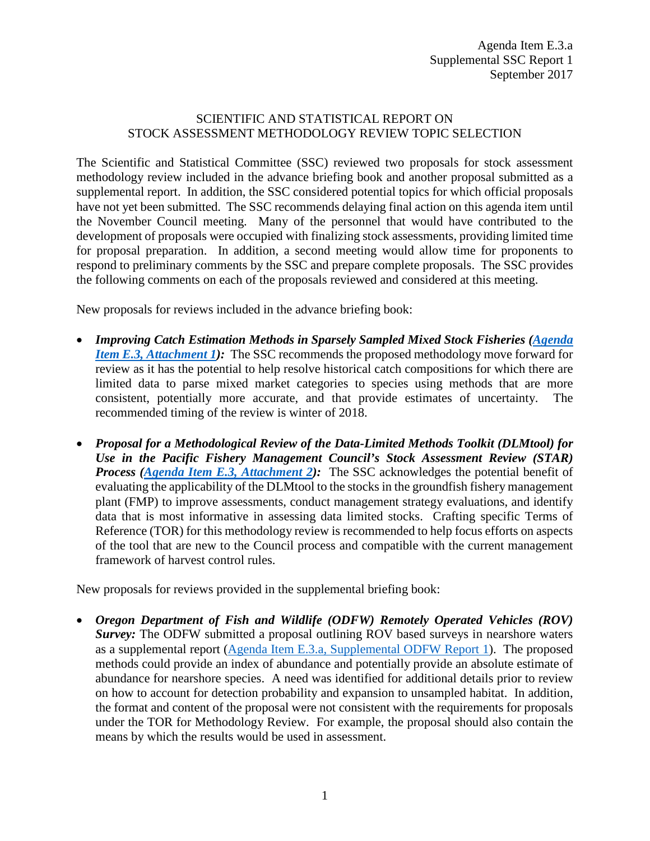## SCIENTIFIC AND STATISTICAL REPORT ON STOCK ASSESSMENT METHODOLOGY REVIEW TOPIC SELECTION

The Scientific and Statistical Committee (SSC) reviewed two proposals for stock assessment methodology review included in the advance briefing book and another proposal submitted as a supplemental report. In addition, the SSC considered potential topics for which official proposals have not yet been submitted. The SSC recommends delaying final action on this agenda item until the November Council meeting. Many of the personnel that would have contributed to the development of proposals were occupied with finalizing stock assessments, providing limited time for proposal preparation. In addition, a second meeting would allow time for proponents to respond to preliminary comments by the SSC and prepare complete proposals. The SSC provides the following comments on each of the proposals reviewed and considered at this meeting.

New proposals for reviews included in the advance briefing book:

- *Improving Catch Estimation Methods in Sparsely Sampled Mixed Stock Fisheries (Agenda [Item E.3, Attachment 1\)](http://www.pcouncil.org/wp-content/uploads/2017/08/E3_Att1_ImprovingCatchEst_SEPT2017BB.pdf)*: The SSC recommends the proposed methodology move forward for review as it has the potential to help resolve historical catch compositions for which there are limited data to parse mixed market categories to species using methods that are more consistent, potentially more accurate, and that provide estimates of uncertainty. The recommended timing of the review is winter of 2018.
- *Proposal for a Methodological Review of the Data-Limited Methods Toolkit (DLMtool) for Use in the Pacific Fishery Management Council's Stock Assessment Review (STAR) Process [\(Agenda Item E.3, Attachment 2\)](http://www.pcouncil.org/wp-content/uploads/2017/08/E3_Att2_PFMC_Methodological_Review_DLMtool_Proposal_SEPT2017BB.pdf):* The SSC acknowledges the potential benefit of evaluating the applicability of the DLMtool to the stocks in the groundfish fishery management plant (FMP) to improve assessments, conduct management strategy evaluations, and identify data that is most informative in assessing data limited stocks. Crafting specific Terms of Reference (TOR) for this methodology review is recommended to help focus efforts on aspects of the tool that are new to the Council process and compatible with the current management framework of harvest control rules.

New proposals for reviews provided in the supplemental briefing book:

• *Oregon Department of Fish and Wildlife (ODFW) Remotely Operated Vehicles (ROV)* **Survey:** The ODFW submitted a proposal outlining ROV based surveys in nearshore waters as a supplemental report [\(Agenda Item E.3.a, Supplemental ODFW Report 1\)](http://www.pcouncil.org/wp-content/uploads/2017/09/E3a_Sup_ODFW_Rpt1_SEPT2017BB.pdf). The proposed methods could provide an index of abundance and potentially provide an absolute estimate of abundance for nearshore species. A need was identified for additional details prior to review on how to account for detection probability and expansion to unsampled habitat. In addition, the format and content of the proposal were not consistent with the requirements for proposals under the TOR for Methodology Review. For example, the proposal should also contain the means by which the results would be used in assessment.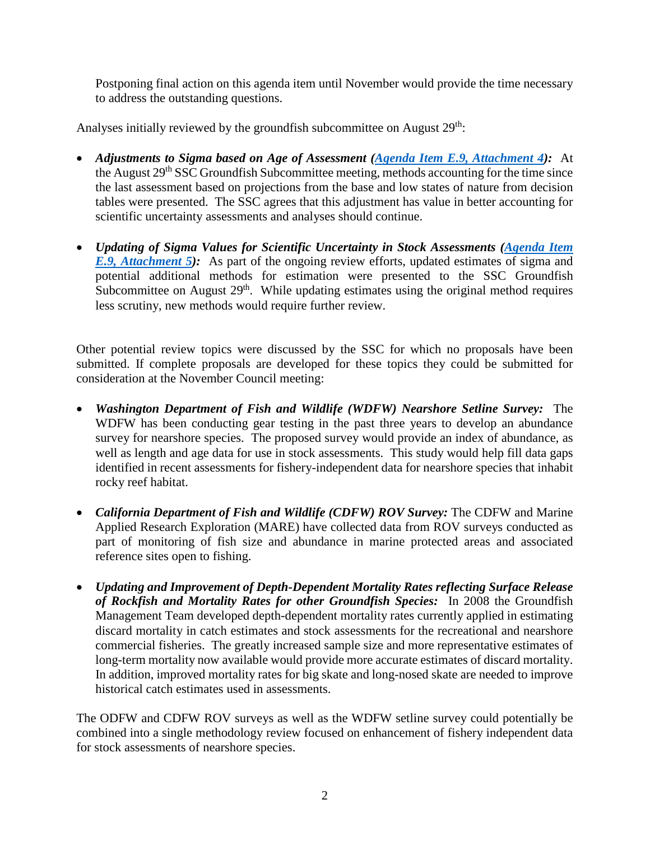Postponing final action on this agenda item until November would provide the time necessary to address the outstanding questions.

Analyses initially reviewed by the groundfish subcommittee on August 29<sup>th</sup>:

- *Adjustments to Sigma based on Age of Assessment [\(Agenda Item E.9, Attachment 4\)](http://www.pcouncil.org/wp-content/uploads/2017/08/E9_Att4_Wetzel_ProjectionUncertainty_Aug2017_SEPT2017BB.pdf):* At the August 29<sup>th</sup> SSC Groundfish Subcommittee meeting, methods accounting for the time since the last assessment based on projections from the base and low states of nature from decision tables were presented. The SSC agrees that this adjustment has value in better accounting for scientific uncertainty assessments and analyses should continue.
- *Updating of Sigma Values for Scientific Uncertainty in Stock Assessments [\(Agenda Item](http://www.pcouncil.org/wp-content/uploads/2017/08/E9_Att5_Privitera-Johnson_EstOFL_SEPT2017BB.pdf)  E.9, Attachment 5*): As part of the ongoing review efforts, updated estimates of sigma and potential additional methods for estimation were presented to the SSC Groundfish Subcommittee on August 29<sup>th</sup>. While updating estimates using the original method requires less scrutiny, new methods would require further review.

Other potential review topics were discussed by the SSC for which no proposals have been submitted. If complete proposals are developed for these topics they could be submitted for consideration at the November Council meeting:

- *Washington Department of Fish and Wildlife (WDFW) Nearshore Setline Survey:* The WDFW has been conducting gear testing in the past three years to develop an abundance survey for nearshore species. The proposed survey would provide an index of abundance, as well as length and age data for use in stock assessments. This study would help fill data gaps identified in recent assessments for fishery-independent data for nearshore species that inhabit rocky reef habitat.
- *California Department of Fish and Wildlife (CDFW) ROV Survey:* The CDFW and Marine Applied Research Exploration (MARE) have collected data from ROV surveys conducted as part of monitoring of fish size and abundance in marine protected areas and associated reference sites open to fishing.
- *Updating and Improvement of Depth-Dependent Mortality Rates reflecting Surface Release of Rockfish and Mortality Rates for other Groundfish Species:* In 2008 the Groundfish Management Team developed depth-dependent mortality rates currently applied in estimating discard mortality in catch estimates and stock assessments for the recreational and nearshore commercial fisheries. The greatly increased sample size and more representative estimates of long-term mortality now available would provide more accurate estimates of discard mortality. In addition, improved mortality rates for big skate and long-nosed skate are needed to improve historical catch estimates used in assessments.

The ODFW and CDFW ROV surveys as well as the WDFW setline survey could potentially be combined into a single methodology review focused on enhancement of fishery independent data for stock assessments of nearshore species.